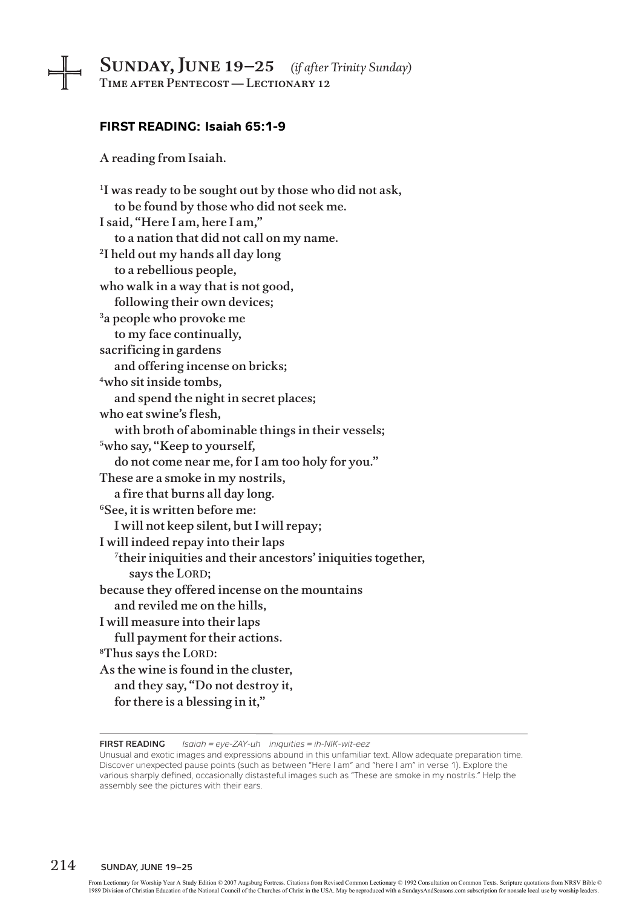# Sunday, June 19–25 *(if after Trinity Sunday)* Time after Pentecost — Lectionary 12

#### **FIRST READING: Isaiah 65:1-9**

A reading from Isaiah.

<sup>1</sup>I was ready to be sought out by those who did not ask, to be found by those who did not seek me. I said, "Here I am, here I am," to a nation that did not call on my name. 2I held out my hands all day long to a rebellious people, who walk in a way that is not good, following their own devices; 3a people who provoke me to my face continually, sacrificing in gardens and offering incense on bricks; 4who sit inside tombs, and spend the night in secret places; who eat swine's flesh, with broth of abominable things in their vessels; 5who say, "Keep to yourself, do not come near me, for I am too holy for you." These are a smoke in my nostrils, a fire that burns all day long. 6See, it is written before me: I will not keep silent, but I will repay; I will indeed repay into their laps 7their iniquities and their ancestors' iniquities together, says the LORD; because they offered incense on the mountains and reviled me on the hills, I will measure into their laps full payment for their actions. <sup>8</sup>Thus says the LORD: As the wine is found in the cluster, and they say, "Do not destroy it, for there is a blessing in it,"

**First Reading** *Isaiah = eye-ZAY-uh iniquities = ih-NIK-wit-eez*

Unusual and exotic images and expressions abound in this unfamiliar text. Allow adequate preparation time. Discover unexpected pause points (such as between "Here I am" and "here I am" in verse 1). Explore the various sharply defined, occasionally distasteful images such as "These are smoke in my nostrils." Help the assembly see the pictures with their ears.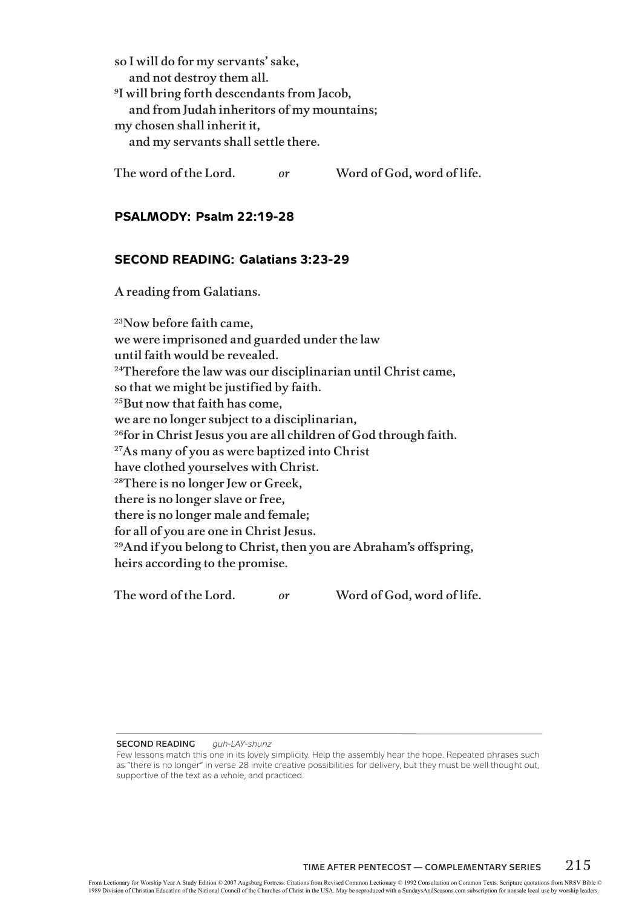so I will do for my servants' sake, and not destroy them all. 9I will bring forth descendants from Jacob, and from Judah inheritors of my mountains; my chosen shall inherit it, and my servants shall settle there.

The word of the Lord. *or* Word of God, word of life.

#### **PSALMODY: Psalm 22:19-28**

## **SECOND READING: Galatians 3:23-29**

A reading from Galatians.

23Now before faith came, we were imprisoned and guarded under the law until faith would be revealed. <sup>24</sup>Therefore the law was our disciplinarian until Christ came, so that we might be justified by faith. <sup>25</sup>But now that faith has come, we are no longer subject to a disciplinarian, <sup>26</sup>for in Christ Jesus you are all children of God through faith. <sup>27</sup>As many of you as were baptized into Christ have clothed yourselves with Christ. 28There is no longer Jew or Greek, there is no longer slave or free, there is no longer male and female; for all of you are one in Christ Jesus. 29And if you belong to Christ, then you are Abraham's offspring, heirs according to the promise.

The word of the Lord. *or* Word of God, word of life.

**Second Reading** *guh-LAY-shunz*

Few lessons match this one in its lovely simplicity. Help the assembly hear the hope. Repeated phrases such as "there is no longer" in verse 28 invite creative possibilities for delivery, but they must be well thought out, supportive of the text as a whole, and practiced.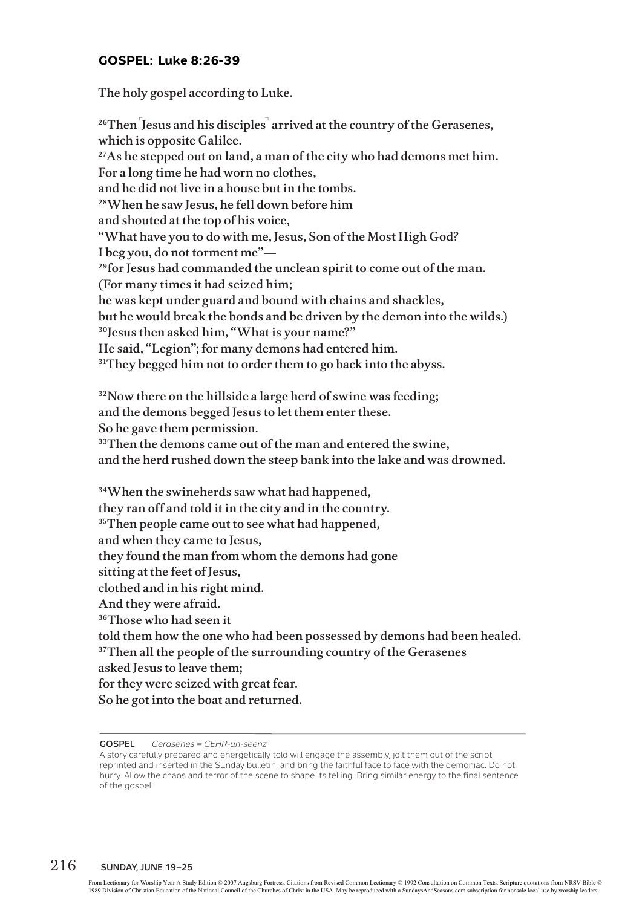## **GOSPEL: Luke 8:26-39**

The holy gospel according to Luke.

 $^{26}$ Then [Jesus and his disciples] arrived at the country of the Gerasenes, which is opposite Galilee.<br><sup>27</sup>As he stepped out on land, a man of the city who had demons met him. For a long time he had worn no clothes, and he did not live in a house but in the tombs. 28When he saw Jesus, he fell down before him and shouted at the top of his voice, "What have you to do with me, Jesus, Son of the Most High God? I beg you, do not torment me"— <sup>29</sup>for Jesus had commanded the unclean spirit to come out of the man. (For many times it had seized him; he was kept under guard and bound with chains and shackles, but he would break the bonds and be driven by the demon into the wilds.) <sup>30</sup>Jesus then asked him, "What is your name?" He said, "Legion"; for many demons had entered him. <sup>31</sup>They begged him not to order them to go back into the abyss.

 $32$ Now there on the hillside a large herd of swine was feeding; and the demons begged Jesus to let them enter these. So he gave them permission. <sup>33</sup>Then the demons came out of the man and entered the swine, and the herd rushed down the steep bank into the lake and was drowned.

34When the swineherds saw what had happened, they ran off and told it in the city and in the country. <sup>35</sup>Then people came out to see what had happened, and when they came to Jesus, they found the man from whom the demons had gone sitting at the feet of Jesus, clothed and in his right mind. And they were afraid. 36Those who had seen it told them how the one who had been possessed by demons had been healed. <sup>37</sup>Then all the people of the surrounding country of the Gerasenes asked Jesus to leave them; for they were seized with great fear. So he got into the boat and returned.

#### **Gospel** *Gerasenes = GEHR-uh-seenz*

A story carefully prepared and energetically told will engage the assembly, jolt them out of the script reprinted and inserted in the Sunday bulletin, and bring the faithful face to face with the demoniac. Do not hurry. Allow the chaos and terror of the scene to shape its telling. Bring similar energy to the final sentence of the gospel.